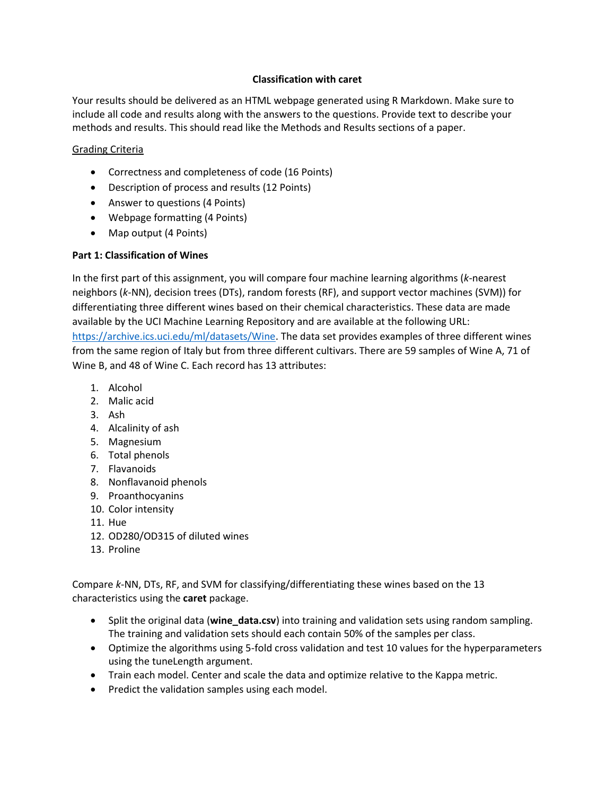## **Classification with caret**

Your results should be delivered as an HTML webpage generated using R Markdown. Make sure to include all code and results along with the answers to the questions. Provide text to describe your methods and results. This should read like the Methods and Results sections of a paper.

## Grading Criteria

- Correctness and completeness of code (16 Points)
- Description of process and results (12 Points)
- Answer to questions (4 Points)
- Webpage formatting (4 Points)
- Map output (4 Points)

# **Part 1: Classification of Wines**

In the first part of this assignment, you will compare four machine learning algorithms (*k*-nearest neighbors (*k*-NN), decision trees (DTs), random forests (RF), and support vector machines (SVM)) for differentiating three different wines based on their chemical characteristics. These data are made available by the UCI Machine Learning Repository and are available at the following URL: [https://archive.ics.uci.edu/ml/datasets/Wine.](https://archive.ics.uci.edu/ml/datasets/Wine) The data set provides examples of three different wines from the same region of Italy but from three different cultivars. There are 59 samples of Wine A, 71 of Wine B, and 48 of Wine C. Each record has 13 attributes:

- 1. Alcohol
- 2. Malic acid
- 3. Ash
- 4. Alcalinity of ash
- 5. Magnesium
- 6. Total phenols
- 7. Flavanoids
- 8. Nonflavanoid phenols
- 9. Proanthocyanins
- 10. Color intensity
- 11. Hue
- 12. OD280/OD315 of diluted wines
- 13. Proline

Compare *k*-NN, DTs, RF, and SVM for classifying/differentiating these wines based on the 13 characteristics using the **caret** package.

- Split the original data (**wine\_data.csv**) into training and validation sets using random sampling. The training and validation sets should each contain 50% of the samples per class.
- Optimize the algorithms using 5-fold cross validation and test 10 values for the hyperparameters using the tuneLength argument.
- Train each model. Center and scale the data and optimize relative to the Kappa metric.
- Predict the validation samples using each model.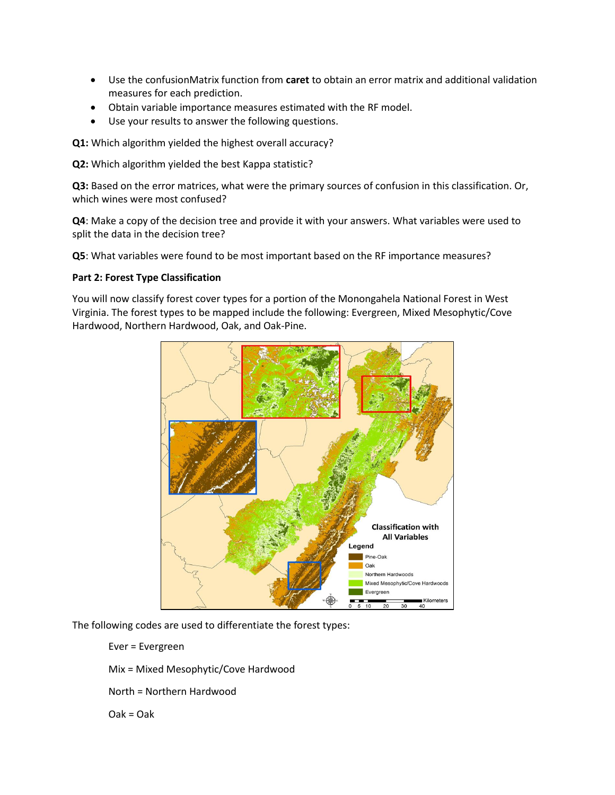- Use the confusionMatrix function from **caret** to obtain an error matrix and additional validation measures for each prediction.
- Obtain variable importance measures estimated with the RF model.
- Use your results to answer the following questions.

**Q1:** Which algorithm yielded the highest overall accuracy?

**Q2:** Which algorithm yielded the best Kappa statistic?

**Q3:** Based on the error matrices, what were the primary sources of confusion in this classification. Or, which wines were most confused?

**Q4**: Make a copy of the decision tree and provide it with your answers. What variables were used to split the data in the decision tree?

**Q5**: What variables were found to be most important based on the RF importance measures?

#### **Part 2: Forest Type Classification**

You will now classify forest cover types for a portion of the Monongahela National Forest in West Virginia. The forest types to be mapped include the following: Evergreen, Mixed Mesophytic/Cove Hardwood, Northern Hardwood, Oak, and Oak-Pine.



The following codes are used to differentiate the forest types:

Ever = Evergreen

Mix = Mixed Mesophytic/Cove Hardwood

North = Northern Hardwood

Oak = Oak